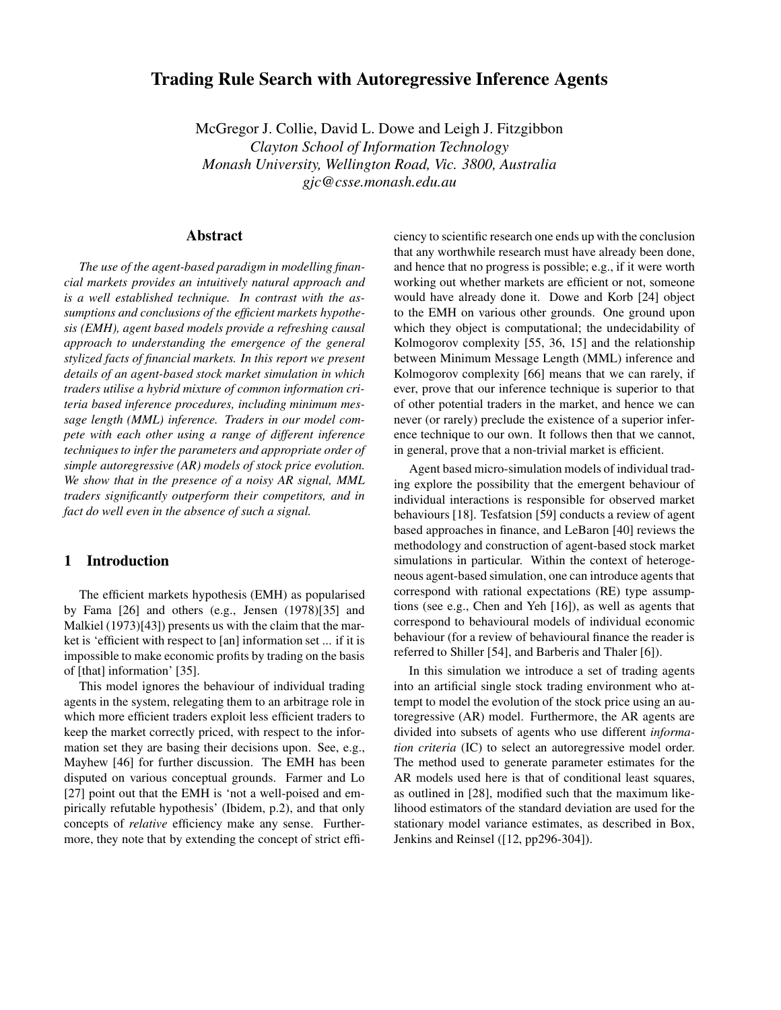# **Trading Rule Search with Autoregressive Inference Agents**

McGregor J. Collie, David L. Dowe and Leigh J. Fitzgibbon *Clayton School of Information Technology Monash University, Wellington Road, Vic. 3800, Australia gjc@csse.monash.edu.au*

## **Abstract**

*The use of the agent-based paradigm in modelling financial markets provides an intuitively natural approach and is a well established technique. In contrast with the assumptions and conclusions of the efficient markets hypothesis (EMH), agent based models provide a refreshing causal approach to understanding the emergence of the general stylized facts of financial markets. In this report we present details of an agent-based stock market simulation in which traders utilise a hybrid mixture of common information criteria based inference procedures, including minimum message length (MML) inference. Traders in our model compete with each other using a range of different inference techniques to infer the parameters and appropriate order of simple autoregressive (AR) models of stock price evolution. We show that in the presence of a noisy AR signal, MML traders significantly outperform their competitors, and in fact do well even in the absence of such a signal.*

## **1 Introduction**

The efficient markets hypothesis (EMH) as popularised by Fama [26] and others (e.g., Jensen (1978)[35] and Malkiel (1973)[43]) presents us with the claim that the market is 'efficient with respect to [an] information set ... if it is impossible to make economic profits by trading on the basis of [that] information' [35].

This model ignores the behaviour of individual trading agents in the system, relegating them to an arbitrage role in which more efficient traders exploit less efficient traders to keep the market correctly priced, with respect to the information set they are basing their decisions upon. See, e.g., Mayhew [46] for further discussion. The EMH has been disputed on various conceptual grounds. Farmer and Lo [27] point out that the EMH is 'not a well-poised and empirically refutable hypothesis' (Ibidem, p.2), and that only concepts of *relative* efficiency make any sense. Furthermore, they note that by extending the concept of strict efficiency to scientific research one ends up with the conclusion that any worthwhile research must have already been done, and hence that no progress is possible; e.g., if it were worth working out whether markets are efficient or not, someone would have already done it. Dowe and Korb [24] object to the EMH on various other grounds. One ground upon which they object is computational; the undecidability of Kolmogorov complexity [55, 36, 15] and the relationship between Minimum Message Length (MML) inference and Kolmogorov complexity [66] means that we can rarely, if ever, prove that our inference technique is superior to that of other potential traders in the market, and hence we can never (or rarely) preclude the existence of a superior inference technique to our own. It follows then that we cannot, in general, prove that a non-trivial market is efficient.

Agent based micro-simulation models of individual trading explore the possibility that the emergent behaviour of individual interactions is responsible for observed market behaviours [18]. Tesfatsion [59] conducts a review of agent based approaches in finance, and LeBaron [40] reviews the methodology and construction of agent-based stock market simulations in particular. Within the context of heterogeneous agent-based simulation, one can introduce agents that correspond with rational expectations (RE) type assumptions (see e.g., Chen and Yeh [16]), as well as agents that correspond to behavioural models of individual economic behaviour (for a review of behavioural finance the reader is referred to Shiller [54], and Barberis and Thaler [6]).

In this simulation we introduce a set of trading agents into an artificial single stock trading environment who attempt to model the evolution of the stock price using an autoregressive (AR) model. Furthermore, the AR agents are divided into subsets of agents who use different *information criteria* (IC) to select an autoregressive model order. The method used to generate parameter estimates for the AR models used here is that of conditional least squares, as outlined in [28], modified such that the maximum likelihood estimators of the standard deviation are used for the stationary model variance estimates, as described in Box, Jenkins and Reinsel ([12, pp296-304]).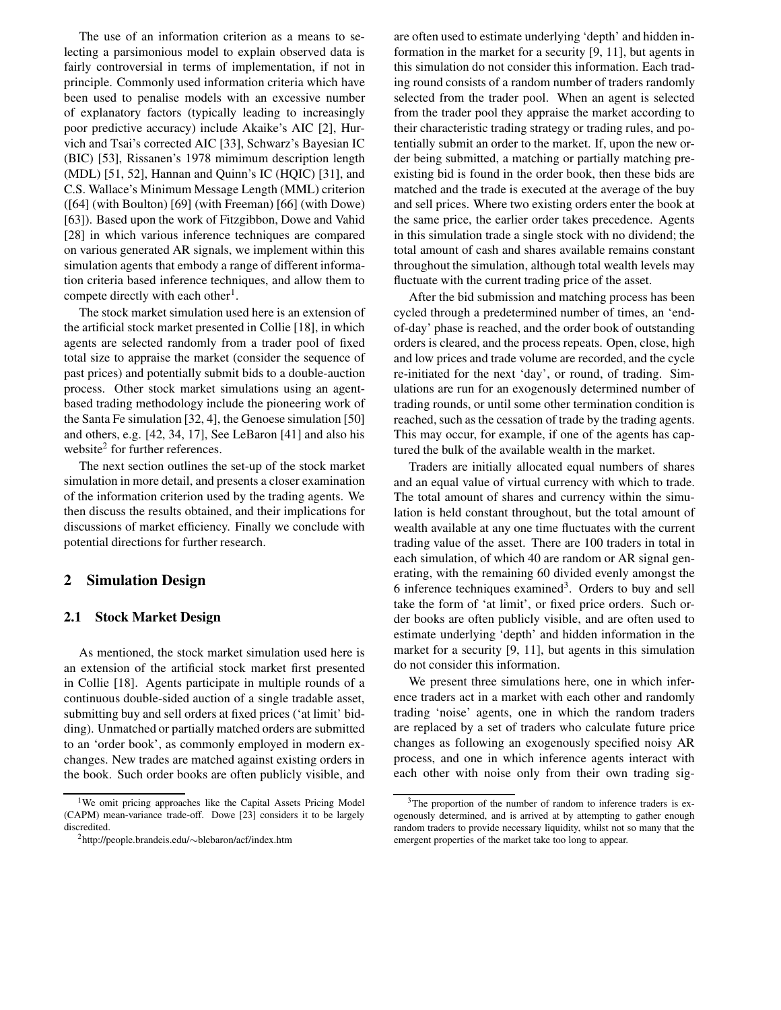The use of an information criterion as a means to selecting a parsimonious model to explain observed data is fairly controversial in terms of implementation, if not in principle. Commonly used information criteria which have been used to penalise models with an excessive number of explanatory factors (typically leading to increasingly poor predictive accuracy) include Akaike's AIC [2], Hurvich and Tsai's corrected AIC [33], Schwarz's Bayesian IC (BIC) [53], Rissanen's 1978 mimimum description length (MDL) [51, 52], Hannan and Quinn's IC (HQIC) [31], and C.S. Wallace's Minimum Message Length (MML) criterion ([64] (with Boulton) [69] (with Freeman) [66] (with Dowe) [63]). Based upon the work of Fitzgibbon, Dowe and Vahid [28] in which various inference techniques are compared on various generated AR signals, we implement within this simulation agents that embody a range of different information criteria based inference techniques, and allow them to compete directly with each other<sup>1</sup>.

The stock market simulation used here is an extension of the artificial stock market presented in Collie [18], in which agents are selected randomly from a trader pool of fixed total size to appraise the market (consider the sequence of past prices) and potentially submit bids to a double-auction process. Other stock market simulations using an agentbased trading methodology include the pioneering work of the Santa Fe simulation [32, 4], the Genoese simulation [50] and others, e.g. [42, 34, 17], See LeBaron [41] and also his website<sup>2</sup> for further references.

The next section outlines the set-up of the stock market simulation in more detail, and presents a closer examination of the information criterion used by the trading agents. We then discuss the results obtained, and their implications for discussions of market efficiency. Finally we conclude with potential directions for further research.

## **2 Simulation Design**

### **2.1 Stock Market Design**

As mentioned, the stock market simulation used here is an extension of the artificial stock market first presented in Collie [18]. Agents participate in multiple rounds of a continuous double-sided auction of a single tradable asset, submitting buy and sell orders at fixed prices ('at limit' bidding). Unmatched or partially matched orders are submitted to an 'order book', as commonly employed in modern exchanges. New trades are matched against existing orders in the book. Such order books are often publicly visible, and

are often used to estimate underlying 'depth' and hidden information in the market for a security [9, 11], but agents in this simulation do not consider this information. Each trading round consists of a random number of traders randomly selected from the trader pool. When an agent is selected from the trader pool they appraise the market according to their characteristic trading strategy or trading rules, and potentially submit an order to the market. If, upon the new order being submitted, a matching or partially matching preexisting bid is found in the order book, then these bids are matched and the trade is executed at the average of the buy and sell prices. Where two existing orders enter the book at the same price, the earlier order takes precedence. Agents in this simulation trade a single stock with no dividend; the total amount of cash and shares available remains constant throughout the simulation, although total wealth levels may fluctuate with the current trading price of the asset.

After the bid submission and matching process has been cycled through a predetermined number of times, an 'endof-day' phase is reached, and the order book of outstanding orders is cleared, and the process repeats. Open, close, high and low prices and trade volume are recorded, and the cycle re-initiated for the next 'day', or round, of trading. Simulations are run for an exogenously determined number of trading rounds, or until some other termination condition is reached, such as the cessation of trade by the trading agents. This may occur, for example, if one of the agents has captured the bulk of the available wealth in the market.

Traders are initially allocated equal numbers of shares and an equal value of virtual currency with which to trade. The total amount of shares and currency within the simulation is held constant throughout, but the total amount of wealth available at any one time fluctuates with the current trading value of the asset. There are 100 traders in total in each simulation, of which 40 are random or AR signal generating, with the remaining 60 divided evenly amongst the 6 inference techniques examined<sup>3</sup>. Orders to buy and sell take the form of 'at limit', or fixed price orders. Such order books are often publicly visible, and are often used to estimate underlying 'depth' and hidden information in the market for a security [9, 11], but agents in this simulation do not consider this information.

We present three simulations here, one in which inference traders act in a market with each other and randomly trading 'noise' agents, one in which the random traders are replaced by a set of traders who calculate future price changes as following an exogenously specified noisy AR process, and one in which inference agents interact with each other with noise only from their own trading sig-

<sup>&</sup>lt;sup>1</sup>We omit pricing approaches like the Capital Assets Pricing Model (CAPM) mean-variance trade-off. Dowe [23] considers it to be largely discredited.

<sup>2</sup>http://people.brandeis.edu/∼blebaron/acf/index.htm

<sup>&</sup>lt;sup>3</sup>The proportion of the number of random to inference traders is exogenously determined, and is arrived at by attempting to gather enough random traders to provide necessary liquidity, whilst not so many that the emergent properties of the market take too long to appear.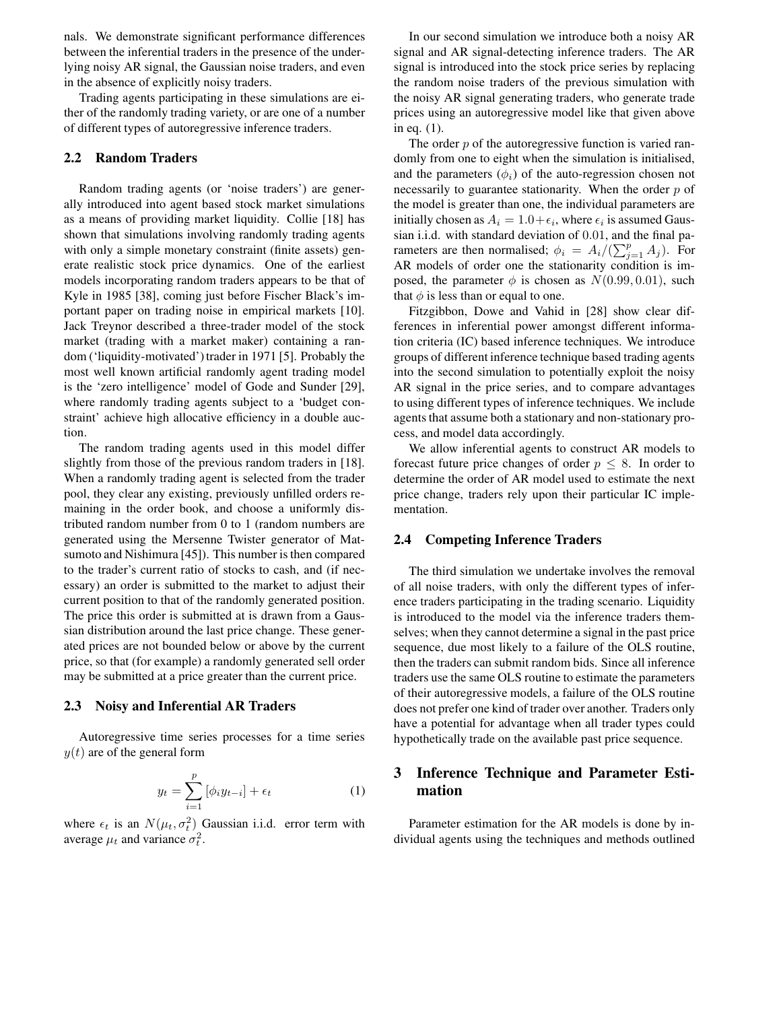nals. We demonstrate significant performance differences between the inferential traders in the presence of the underlying noisy AR signal, the Gaussian noise traders, and even in the absence of explicitly noisy traders.

Trading agents participating in these simulations are either of the randomly trading variety, or are one of a number of different types of autoregressive inference traders.

#### **2.2 Random Traders**

Random trading agents (or 'noise traders') are generally introduced into agent based stock market simulations as a means of providing market liquidity. Collie [18] has shown that simulations involving randomly trading agents with only a simple monetary constraint (finite assets) generate realistic stock price dynamics. One of the earliest models incorporating random traders appears to be that of Kyle in 1985 [38], coming just before Fischer Black's important paper on trading noise in empirical markets [10]. Jack Treynor described a three-trader model of the stock market (trading with a market maker) containing a random ('liquidity-motivated') trader in 1971 [5]. Probably the most well known artificial randomly agent trading model is the 'zero intelligence' model of Gode and Sunder [29], where randomly trading agents subject to a 'budget constraint' achieve high allocative efficiency in a double auction.

The random trading agents used in this model differ slightly from those of the previous random traders in [18]. When a randomly trading agent is selected from the trader pool, they clear any existing, previously unfilled orders remaining in the order book, and choose a uniformly distributed random number from 0 to 1 (random numbers are generated using the Mersenne Twister generator of Matsumoto and Nishimura [45]). This number is then compared to the trader's current ratio of stocks to cash, and (if necessary) an order is submitted to the market to adjust their current position to that of the randomly generated position. The price this order is submitted at is drawn from a Gaussian distribution around the last price change. These generated prices are not bounded below or above by the current price, so that (for example) a randomly generated sell order may be submitted at a price greater than the current price.

#### **2.3 Noisy and Inferential AR Traders**

Autoregressive time series processes for a time series  $y(t)$  are of the general form

$$
y_t = \sum_{i=1}^p [\phi_i y_{t-i}] + \epsilon_t \tag{1}
$$

where  $\epsilon_t$  is an  $N(\mu_t, \sigma_t^2)$  Gaussian i.i.d. error term with average  $\mu_t$  and variance  $\sigma_t^2$ .

In our second simulation we introduce both a noisy AR signal and AR signal-detecting inference traders. The AR signal is introduced into the stock price series by replacing the random noise traders of the previous simulation with the noisy AR signal generating traders, who generate trade prices using an autoregressive model like that given above in eq. (1).

The order  $p$  of the autoregressive function is varied randomly from one to eight when the simulation is initialised, and the parameters  $(\phi_i)$  of the auto-regression chosen not necessarily to guarantee stationarity. When the order  $p$  of the model is greater than one, the individual parameters are initially chosen as  $A_i = 1.0 + \epsilon_i$ , where  $\epsilon_i$  is assumed Gaussian i.i.d. with standard deviation of 0.01, and the final parameters are then normalised;  $\phi_i = A_i/(\sum_{j=1}^p A_j)$ . For AR models of order one the stationarity condition is imposed, the parameter  $\phi$  is chosen as  $N(0.99, 0.01)$ , such that  $\phi$  is less than or equal to one.

Fitzgibbon, Dowe and Vahid in [28] show clear differences in inferential power amongst different information criteria (IC) based inference techniques. We introduce groups of different inference technique based trading agents into the second simulation to potentially exploit the noisy AR signal in the price series, and to compare advantages to using different types of inference techniques. We include agents that assume both a stationary and non-stationary process, and model data accordingly.

We allow inferential agents to construct AR models to forecast future price changes of order  $p \leq 8$ . In order to determine the order of AR model used to estimate the next price change, traders rely upon their particular IC implementation.

## **2.4 Competing Inference Traders**

The third simulation we undertake involves the removal of all noise traders, with only the different types of inference traders participating in the trading scenario. Liquidity is introduced to the model via the inference traders themselves; when they cannot determine a signal in the past price sequence, due most likely to a failure of the OLS routine, then the traders can submit random bids. Since all inference traders use the same OLS routine to estimate the parameters of their autoregressive models, a failure of the OLS routine does not prefer one kind of trader over another. Traders only have a potential for advantage when all trader types could hypothetically trade on the available past price sequence.

# **3 Inference Technique and Parameter Estimation**

Parameter estimation for the AR models is done by individual agents using the techniques and methods outlined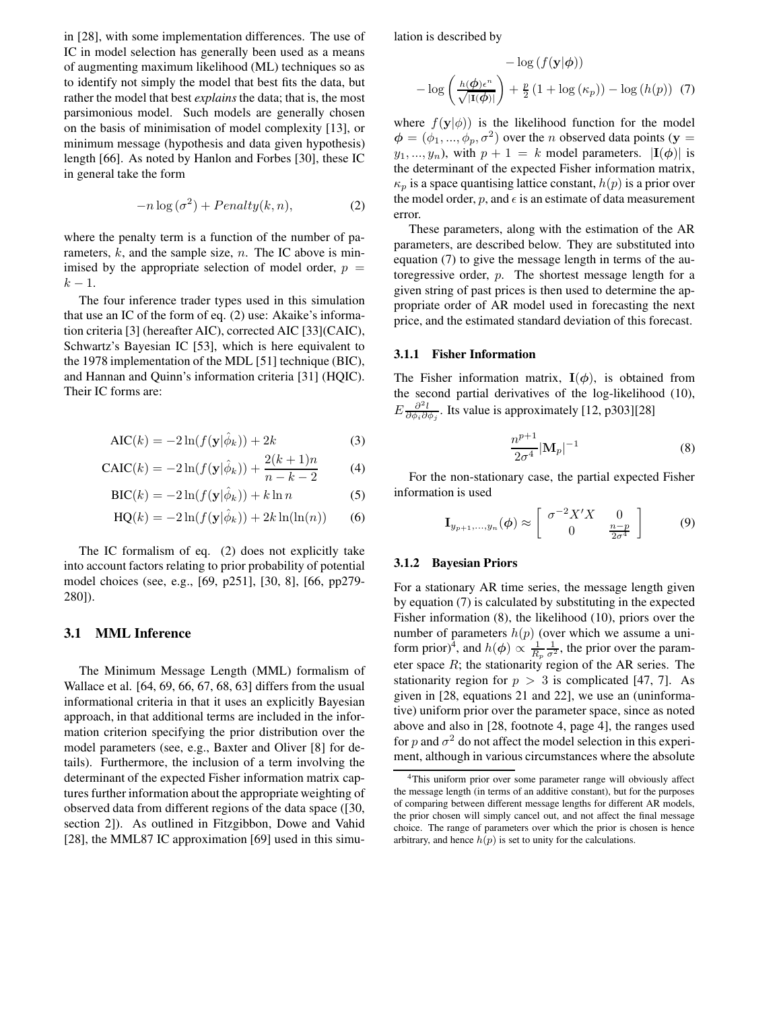in [28], with some implementation differences. The use of IC in model selection has generally been used as a means of augmenting maximum likelihood (ML) techniques so as to identify not simply the model that best fits the data, but rather the model that best *explains* the data; that is, the most parsimonious model. Such models are generally chosen on the basis of minimisation of model complexity [13], or minimum message (hypothesis and data given hypothesis) length [66]. As noted by Hanlon and Forbes [30], these IC in general take the form

$$
-n\log\left(\sigma^2\right) + Penalty(k, n),\tag{2}
$$

where the penalty term is a function of the number of parameters,  $k$ , and the sample size,  $n$ . The IC above is minimised by the appropriate selection of model order,  $p =$  $k - 1$ .

The four inference trader types used in this simulation that use an IC of the form of eq. (2) use: Akaike's information criteria [3] (hereafter AIC), corrected AIC [33](CAIC), Schwartz's Bayesian IC [53], which is here equivalent to the 1978 implementation of the MDL [51] technique (BIC), and Hannan and Quinn's information criteria [31] (HQIC). Their IC forms are:

$$
AIC(k) = -2\ln(f(\mathbf{y}|\hat{\phi}_k)) + 2k
$$
 (3)

$$
CAIC(k) = -2\ln(f(\mathbf{y}|\hat{\phi}_k)) + \frac{2(k+1)n}{n-k-2}
$$
 (4)

$$
BIC(k) = -2\ln(f(\mathbf{y}|\hat{\phi}_k)) + k\ln n \tag{5}
$$

$$
HQ(k) = -2\ln(f(\mathbf{y}|\hat{\phi}_k)) + 2k\ln(\ln(n)) \qquad (6)
$$

The IC formalism of eq. (2) does not explicitly take into account factors relating to prior probability of potential model choices (see, e.g., [69, p251], [30, 8], [66, pp279- 280]).

#### **3.1 MML Inference**

The Minimum Message Length (MML) formalism of Wallace et al. [64, 69, 66, 67, 68, 63] differs from the usual informational criteria in that it uses an explicitly Bayesian approach, in that additional terms are included in the information criterion specifying the prior distribution over the model parameters (see, e.g., Baxter and Oliver [8] for details). Furthermore, the inclusion of a term involving the determinant of the expected Fisher information matrix captures further information about the appropriate weighting of observed data from different regions of the data space ([30, section 2]). As outlined in Fitzgibbon, Dowe and Vahid [28], the MML87 IC approximation [69] used in this simulation is described by

$$
- \log (f(\mathbf{y}|\boldsymbol{\phi})) - \log \left(\frac{h(\boldsymbol{\phi})\epsilon^n}{\sqrt{|\mathbf{I}(\boldsymbol{\phi})|}}\right) + \frac{p}{2} (1 + \log (\kappa_p)) - \log (h(p)) \tag{7}
$$

where  $f(y|\phi)$  is the likelihood function for the model  $\phi = (\phi_1, ..., \phi_p, \sigma^2)$  over the *n* observed data points (y =  $y_1, ..., y_n$ , with  $p + 1 = k$  model parameters.  $|I(\phi)|$  is the determinant of the expected Fisher information matrix,  $\kappa_p$  is a space quantising lattice constant,  $h(p)$  is a prior over the model order, p, and  $\epsilon$  is an estimate of data measurement error.

These parameters, along with the estimation of the AR parameters, are described below. They are substituted into equation (7) to give the message length in terms of the autoregressive order, p. The shortest message length for a given string of past prices is then used to determine the appropriate order of AR model used in forecasting the next price, and the estimated standard deviation of this forecast.

#### **3.1.1 Fisher Information**

The Fisher information matrix,  $I(\phi)$ , is obtained from the second partial derivatives of the log-likelihood (10),  $E \frac{\partial^2 l}{\partial \phi_i \partial \phi_j}$ . Its value is approximately [12, p303][28]

$$
\frac{n^{p+1}}{2\sigma^4}|\mathbf{M}_p|^{-1} \tag{8}
$$

For the non-stationary case, the partial expected Fisher information is used

$$
\mathbf{I}_{y_{p+1},...,y_n}(\phi) \approx \begin{bmatrix} \sigma^{-2} X' X & 0\\ 0 & \frac{n-p}{2\sigma^4} \end{bmatrix}
$$
 (9)

#### **3.1.2 Bayesian Priors**

For a stationary AR time series, the message length given by equation (7) is calculated by substituting in the expected Fisher information (8), the likelihood (10), priors over the number of parameters  $h(p)$  (over which we assume a uniform prior)<sup>4</sup>, and  $h(\phi) \propto \frac{1}{R_p} \frac{1}{\sigma^2}$ , the prior over the parameter space  $R$ ; the stationarity region of the AR series. The stationarity region for  $p > 3$  is complicated [47, 7]. As given in [28, equations 21 and 22], we use an (uninformative) uniform prior over the parameter space, since as noted above and also in [28, footnote 4, page 4], the ranges used for p and  $\sigma^2$  do not affect the model selection in this experiment, although in various circumstances where the absolute

<sup>4</sup>This uniform prior over some parameter range will obviously affect the message length (in terms of an additive constant), but for the purposes of comparing between different message lengths for different AR models, the prior chosen will simply cancel out, and not affect the final message choice. The range of parameters over which the prior is chosen is hence arbitrary, and hence  $h(p)$  is set to unity for the calculations.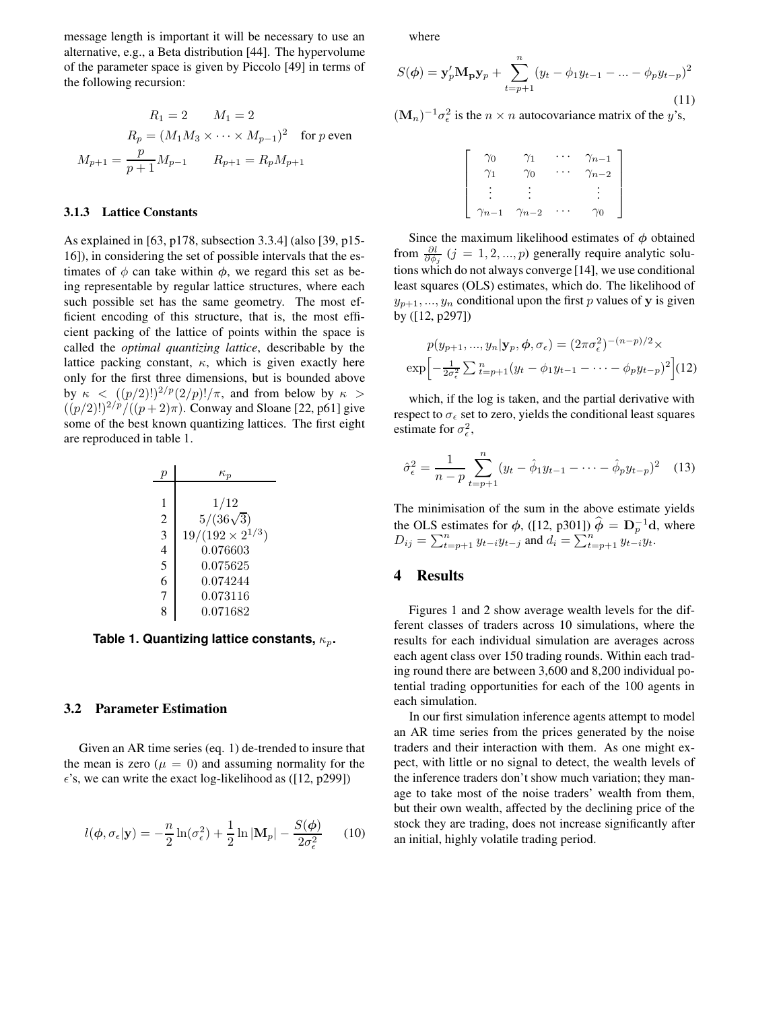message length is important it will be necessary to use an alternative, e.g., a Beta distribution [44]. The hypervolume of the parameter space is given by Piccolo [49] in terms of the following recursion:

$$
R_1 = 2 \t M_1 = 2
$$
  
\n
$$
R_p = (M_1 M_3 \times \cdots \times M_{p-1})^2 \text{ for } p \text{ even}
$$
  
\n
$$
M_{p+1} = \frac{p}{p+1} M_{p-1} \t R_{p+1} = R_p M_{p+1}
$$

#### **3.1.3 Lattice Constants**

As explained in [63, p178, subsection 3.3.4] (also [39, p15- 16]), in considering the set of possible intervals that the estimates of  $\phi$  can take within  $\phi$ , we regard this set as being representable by regular lattice structures, where each such possible set has the same geometry. The most efficient encoding of this structure, that is, the most efficient packing of the lattice of points within the space is called the *optimal quantizing lattice*, describable by the lattice packing constant,  $\kappa$ , which is given exactly here only for the first three dimensions, but is bounded above by  $\kappa$  <  $((p/2)!)^{2/p} (2/p)!/\pi$ , and from below by  $\kappa$  >  $((p/2)!)^{2/p}/((p+2)\pi)$ . Conway and Sloane [22, p61] give some of the best known quantizing lattices. The first eight are reproduced in table 1.

| p | $\kappa_p$                |
|---|---------------------------|
| 1 | $1/12$                    |
| 2 | $5/(36\sqrt{3})$          |
| 3 | $19/(192 \times 2^{1/3})$ |
| 4 | $0.076603$                |
| 5 | $0.075625$                |
| 6 | $0.074244$                |
| 7 | $0.073116$                |
| 8 | $0.071682$                |

**Table 1. Quantizing lattice constants,** κp**.**

### **3.2 Parameter Estimation**

Given an AR time series (eq. 1) de-trended to insure that the mean is zero ( $\mu = 0$ ) and assuming normality for the  $\epsilon$ 's, we can write the exact log-likelihood as ([12, p299])

$$
l(\boldsymbol{\phi}, \sigma_{\epsilon} | \mathbf{y}) = -\frac{n}{2} \ln(\sigma_{\epsilon}^2) + \frac{1}{2} \ln |\mathbf{M}_p| - \frac{S(\boldsymbol{\phi})}{2\sigma_{\epsilon}^2} \qquad (10)
$$

where

$$
S(\phi) = \mathbf{y}_p' \mathbf{M}_p \mathbf{y}_p + \sum_{t=p+1}^n (y_t - \phi_1 y_{t-1} - \dots - \phi_p y_{t-p})^2
$$
\n(11)

 $(M_n)^{-1} \sigma_{\epsilon}^2$  is the  $n \times n$  autocovariance matrix of the y's,

| $\gamma_0$     | $\gamma_1$     | $\gamma_{n-1}$ |
|----------------|----------------|----------------|
|                | $\gamma_0$     | $\gamma_{n-2}$ |
|                |                |                |
| $\gamma_{n-1}$ | $\gamma_{n-2}$ | $\gamma_0$     |

Since the maximum likelihood estimates of  $\phi$  obtained from  $\frac{\partial l}{\partial \phi_j}$  (j = 1, 2, ..., p) generally require analytic solutions which do not always converge [14], we use conditional least squares (OLS) estimates, which do. The likelihood of  $y_{p+1},..., y_n$  conditional upon the first p values of y is given by ([12, p297])

$$
p(y_{p+1}, ..., y_n | \mathbf{y}_p, \boldsymbol{\phi}, \sigma_{\epsilon}) = (2\pi\sigma_{\epsilon}^2)^{-(n-p)/2} \times \exp\left[-\frac{1}{2\sigma_{\epsilon}^2} \sum_{t=p+1}^n (y_t - \phi_1 y_{t-1} - \dots - \phi_p y_{t-p})^2\right]
$$
(12)

which, if the log is taken, and the partial derivative with respect to  $\sigma_{\epsilon}$  set to zero, yields the conditional least squares estimate for  $\sigma_{\epsilon}^2$ ,

$$
\hat{\sigma}_{\epsilon}^{2} = \frac{1}{n-p} \sum_{t=p+1}^{n} (y_{t} - \hat{\phi}_{1} y_{t-1} - \dots - \hat{\phi}_{p} y_{t-p})^{2} \quad (13)
$$

The minimisation of the sum in the above estimate yields the OLS estimates for  $\phi$ , ([12, p301])  $\hat{\phi} = D_p^{-1}d$ , where  $D_{ij} = \sum_{t=p+1}^{n} y_{t-i} y_{t-j}$  and  $d_i = \sum_{t=p+1}^{n} y_{t-i} y_{t}$ .

## **4 Results**

Figures 1 and 2 show average wealth levels for the different classes of traders across 10 simulations, where the results for each individual simulation are averages across each agent class over 150 trading rounds. Within each trading round there are between 3,600 and 8,200 individual potential trading opportunities for each of the 100 agents in each simulation.

In our first simulation inference agents attempt to model an AR time series from the prices generated by the noise traders and their interaction with them. As one might expect, with little or no signal to detect, the wealth levels of the inference traders don't show much variation; they manage to take most of the noise traders' wealth from them, but their own wealth, affected by the declining price of the stock they are trading, does not increase significantly after an initial, highly volatile trading period.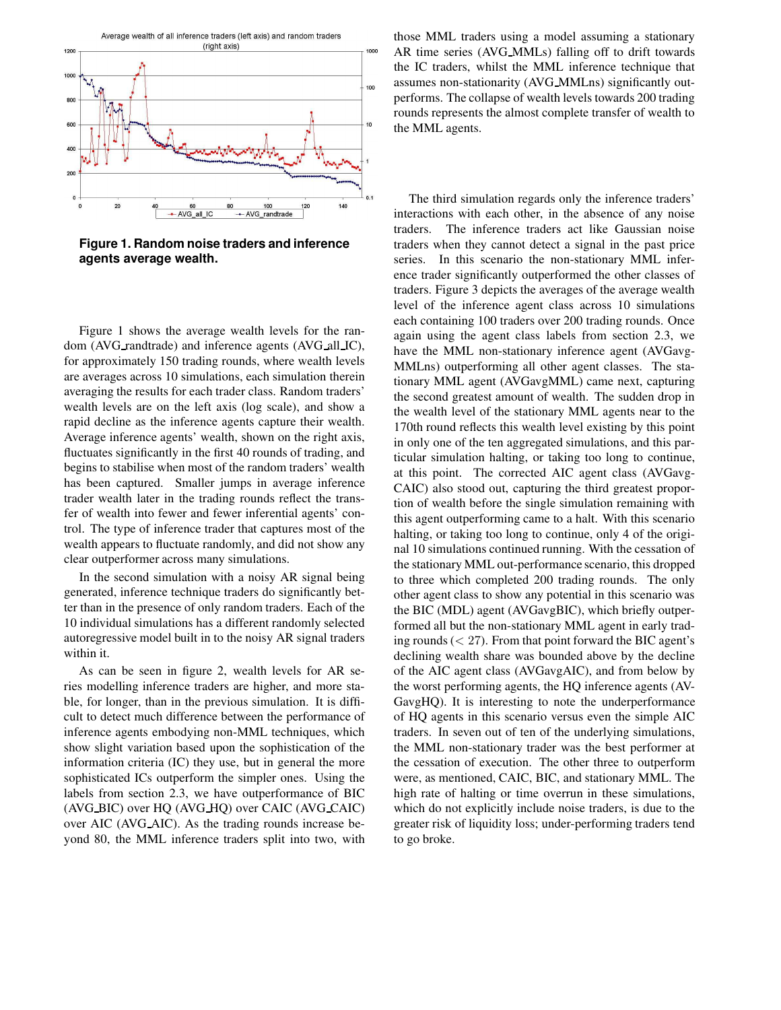

**Figure 1. Random noise traders and inference agents average wealth.**

Figure 1 shows the average wealth levels for the random (AVG\_randtrade) and inference agents (AVG\_all\_IC), for approximately 150 trading rounds, where wealth levels are averages across 10 simulations, each simulation therein averaging the results for each trader class. Random traders' wealth levels are on the left axis (log scale), and show a rapid decline as the inference agents capture their wealth. Average inference agents' wealth, shown on the right axis, fluctuates significantly in the first 40 rounds of trading, and begins to stabilise when most of the random traders' wealth has been captured. Smaller jumps in average inference trader wealth later in the trading rounds reflect the transfer of wealth into fewer and fewer inferential agents' control. The type of inference trader that captures most of the wealth appears to fluctuate randomly, and did not show any clear outperformer across many simulations.

In the second simulation with a noisy AR signal being generated, inference technique traders do significantly better than in the presence of only random traders. Each of the 10 individual simulations has a different randomly selected autoregressive model built in to the noisy AR signal traders within it.

As can be seen in figure 2, wealth levels for AR series modelling inference traders are higher, and more stable, for longer, than in the previous simulation. It is difficult to detect much difference between the performance of inference agents embodying non-MML techniques, which show slight variation based upon the sophistication of the information criteria (IC) they use, but in general the more sophisticated ICs outperform the simpler ones. Using the labels from section 2.3, we have outperformance of BIC (AVG BIC) over HQ (AVG HQ) over CAIC (AVG CAIC) over AIC (AVG AIC). As the trading rounds increase beyond 80, the MML inference traders split into two, with

those MML traders using a model assuming a stationary AR time series (AVG MMLs) falling off to drift towards the IC traders, whilst the MML inference technique that assumes non-stationarity (AVG MMLns) significantly outperforms. The collapse of wealth levels towards 200 trading rounds represents the almost complete transfer of wealth to the MML agents.

The third simulation regards only the inference traders' interactions with each other, in the absence of any noise traders. The inference traders act like Gaussian noise traders when they cannot detect a signal in the past price series. In this scenario the non-stationary MML inference trader significantly outperformed the other classes of traders. Figure 3 depicts the averages of the average wealth level of the inference agent class across 10 simulations each containing 100 traders over 200 trading rounds. Once again using the agent class labels from section 2.3, we have the MML non-stationary inference agent (AVGavg-MMLns) outperforming all other agent classes. The stationary MML agent (AVGavgMML) came next, capturing the second greatest amount of wealth. The sudden drop in the wealth level of the stationary MML agents near to the 170th round reflects this wealth level existing by this point in only one of the ten aggregated simulations, and this particular simulation halting, or taking too long to continue, at this point. The corrected AIC agent class (AVGavg-CAIC) also stood out, capturing the third greatest proportion of wealth before the single simulation remaining with this agent outperforming came to a halt. With this scenario halting, or taking too long to continue, only 4 of the original 10 simulations continued running. With the cessation of the stationary MML out-performance scenario, this dropped to three which completed 200 trading rounds. The only other agent class to show any potential in this scenario was the BIC (MDL) agent (AVGavgBIC), which briefly outperformed all but the non-stationary MML agent in early trading rounds  $(< 27)$ . From that point forward the BIC agent's declining wealth share was bounded above by the decline of the AIC agent class (AVGavgAIC), and from below by the worst performing agents, the HQ inference agents (AV-GavgHQ). It is interesting to note the underperformance of HQ agents in this scenario versus even the simple AIC traders. In seven out of ten of the underlying simulations, the MML non-stationary trader was the best performer at the cessation of execution. The other three to outperform were, as mentioned, CAIC, BIC, and stationary MML. The high rate of halting or time overrun in these simulations, which do not explicitly include noise traders, is due to the greater risk of liquidity loss; under-performing traders tend to go broke.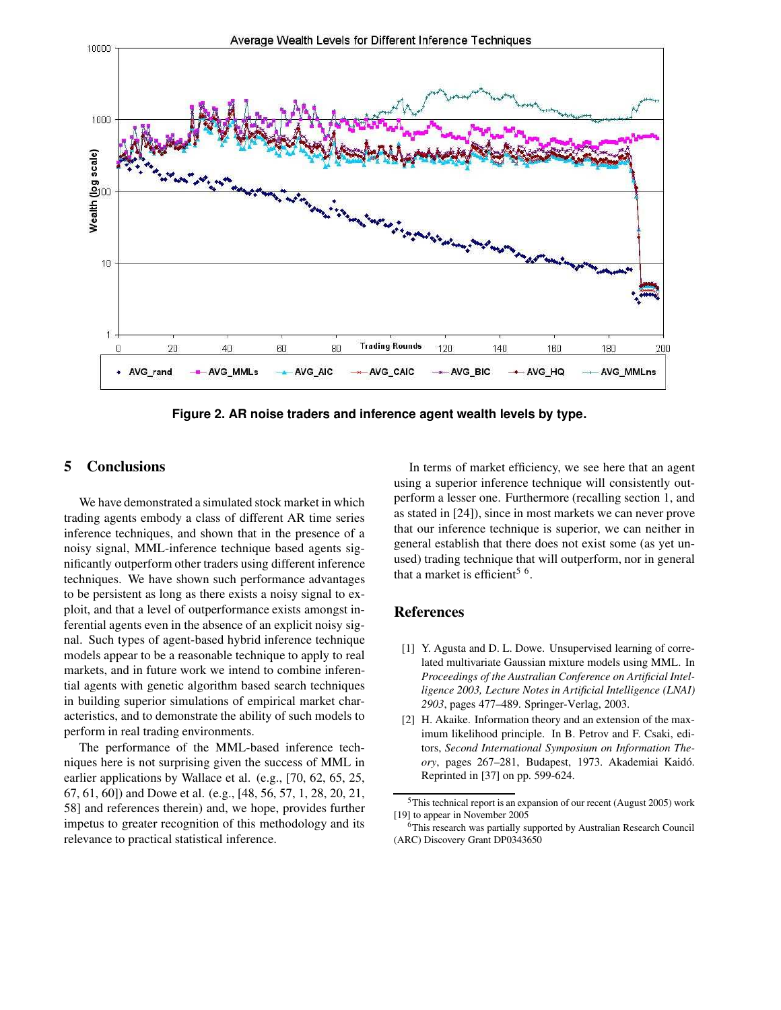

**Figure 2. AR noise traders and inference agent wealth levels by type.**

## **5 Conclusions**

We have demonstrated a simulated stock market in which trading agents embody a class of different AR time series inference techniques, and shown that in the presence of a noisy signal, MML-inference technique based agents significantly outperform other traders using different inference techniques. We have shown such performance advantages to be persistent as long as there exists a noisy signal to exploit, and that a level of outperformance exists amongst inferential agents even in the absence of an explicit noisy signal. Such types of agent-based hybrid inference technique models appear to be a reasonable technique to apply to real markets, and in future work we intend to combine inferential agents with genetic algorithm based search techniques in building superior simulations of empirical market characteristics, and to demonstrate the ability of such models to perform in real trading environments.

The performance of the MML-based inference techniques here is not surprising given the success of MML in earlier applications by Wallace et al. (e.g., [70, 62, 65, 25, 67, 61, 60]) and Dowe et al. (e.g., [48, 56, 57, 1, 28, 20, 21, 58] and references therein) and, we hope, provides further impetus to greater recognition of this methodology and its relevance to practical statistical inference.

In terms of market efficiency, we see here that an agent using a superior inference technique will consistently outperform a lesser one. Furthermore (recalling section 1, and as stated in [24]), since in most markets we can never prove that our inference technique is superior, we can neither in general establish that there does not exist some (as yet unused) trading technique that will outperform, nor in general that a market is efficient<sup>5  $6$ </sup>.

## **References**

- [1] Y. Agusta and D. L. Dowe. Unsupervised learning of correlated multivariate Gaussian mixture models using MML. In *Proceedings of the Australian Conference on Artificial Intelligence 2003, Lecture Notes in Artificial Intelligence (LNAI) 2903*, pages 477–489. Springer-Verlag, 2003.
- [2] H. Akaike. Information theory and an extension of the maximum likelihood principle. In B. Petrov and F. Csaki, editors, *Second International Symposium on Information Theory*, pages 267–281, Budapest, 1973. Akademiai Kaido.´ Reprinted in [37] on pp. 599-624.

<sup>5</sup>This technical report is an expansion of our recent (August 2005) work [19] to appear in November 2005

<sup>6</sup>This research was partially supported by Australian Research Council (ARC) Discovery Grant DP0343650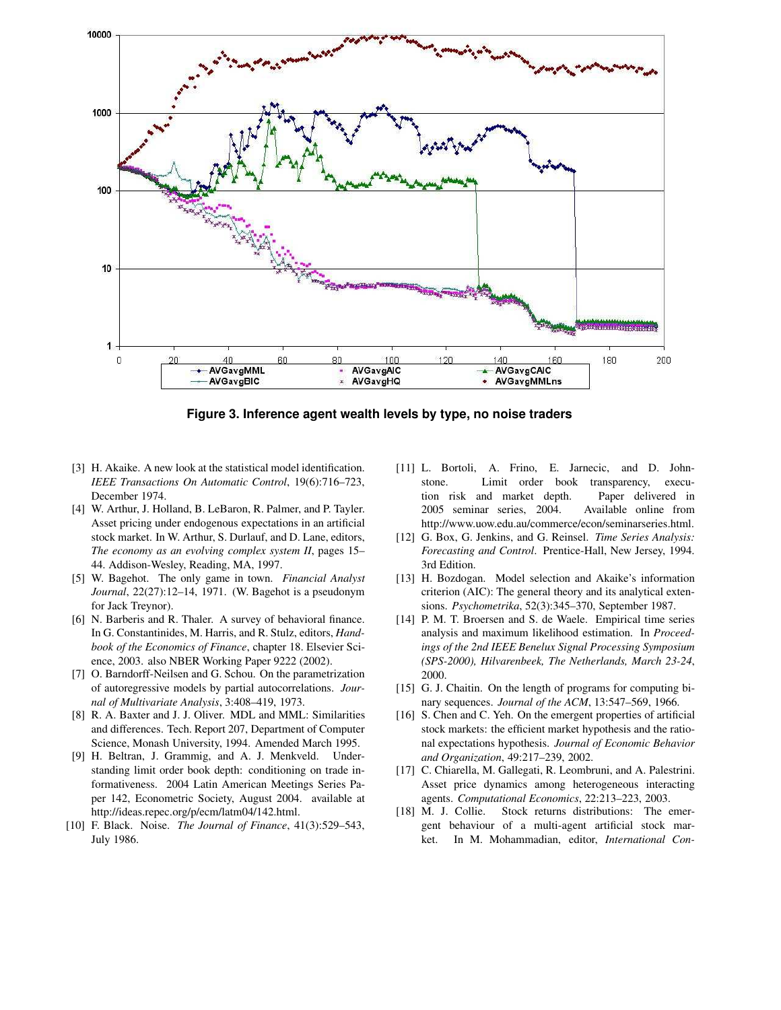

**Figure 3. Inference agent wealth levels by type, no noise traders**

- [3] H. Akaike. A new look at the statistical model identification. *IEEE Transactions On Automatic Control*, 19(6):716–723, December 1974.
- [4] W. Arthur, J. Holland, B. LeBaron, R. Palmer, and P. Tayler. Asset pricing under endogenous expectations in an artificial stock market. In W. Arthur, S. Durlauf, and D. Lane, editors, *The economy as an evolving complex system II*, pages 15– 44. Addison-Wesley, Reading, MA, 1997.
- [5] W. Bagehot. The only game in town. *Financial Analyst Journal*, 22(27):12–14, 1971. (W. Bagehot is a pseudonym for Jack Treynor).
- [6] N. Barberis and R. Thaler. A survey of behavioral finance. In G. Constantinides, M. Harris, and R. Stulz, editors, *Handbook of the Economics of Finance*, chapter 18. Elsevier Science, 2003. also NBER Working Paper 9222 (2002).
- [7] O. Barndorff-Neilsen and G. Schou. On the parametrization of autoregressive models by partial autocorrelations. *Journal of Multivariate Analysis*, 3:408–419, 1973.
- [8] R. A. Baxter and J. J. Oliver. MDL and MML: Similarities and differences. Tech. Report 207, Department of Computer Science, Monash University, 1994. Amended March 1995.
- [9] H. Beltran, J. Grammig, and A. J. Menkveld. Understanding limit order book depth: conditioning on trade informativeness. 2004 Latin American Meetings Series Paper 142, Econometric Society, August 2004. available at http://ideas.repec.org/p/ecm/latm04/142.html.
- [10] F. Black. Noise. *The Journal of Finance*, 41(3):529–543, July 1986.
- [11] L. Bortoli, A. Frino, E. Jarnecic, and D. Johnstone. Limit order book transparency, execution risk and market depth. Paper delivered in 2005 seminar series, 2004. Available online from http://www.uow.edu.au/commerce/econ/seminarseries.html.
- [12] G. Box, G. Jenkins, and G. Reinsel. *Time Series Analysis: Forecasting and Control*. Prentice-Hall, New Jersey, 1994. 3rd Edition.
- [13] H. Bozdogan. Model selection and Akaike's information criterion (AIC): The general theory and its analytical extensions. *Psychometrika*, 52(3):345–370, September 1987.
- [14] P. M. T. Broersen and S. de Waele. Empirical time series analysis and maximum likelihood estimation. In *Proceedings of the 2nd IEEE Benelux Signal Processing Symposium (SPS-2000), Hilvarenbeek, The Netherlands, March 23-24*, 2000.
- [15] G. J. Chaitin. On the length of programs for computing binary sequences. *Journal of the ACM*, 13:547–569, 1966.
- [16] S. Chen and C. Yeh. On the emergent properties of artificial stock markets: the efficient market hypothesis and the rational expectations hypothesis. *Journal of Economic Behavior and Organization*, 49:217–239, 2002.
- [17] C. Chiarella, M. Gallegati, R. Leombruni, and A. Palestrini. Asset price dynamics among heterogeneous interacting agents. *Computational Economics*, 22:213–223, 2003.
- [18] M. J. Collie. Stock returns distributions: The emergent behaviour of a multi-agent artificial stock market. In M. Mohammadian, editor, *International Con-*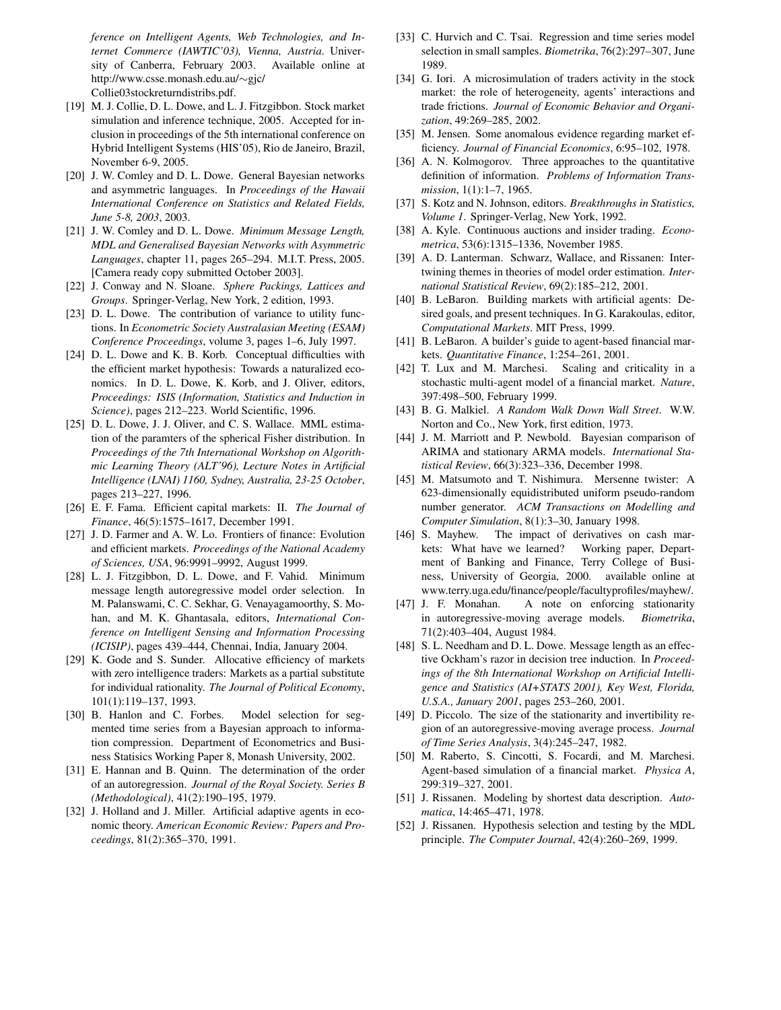*ference on Intelligent Agents, Web Technologies, and Internet Commerce (IAWTIC'03), Vienna, Austria*. University of Canberra, February 2003. Available online at http://www.csse.monash.edu.au/∼gjc/ Collie03stockreturndistribs.pdf.

- [19] M. J. Collie, D. L. Dowe, and L. J. Fitzgibbon. Stock market simulation and inference technique, 2005. Accepted for inclusion in proceedings of the 5th international conference on Hybrid Intelligent Systems (HIS'05), Rio de Janeiro, Brazil, November 6-9, 2005.
- [20] J. W. Comley and D. L. Dowe. General Bayesian networks and asymmetric languages. In *Proceedings of the Hawaii International Conference on Statistics and Related Fields, June 5-8, 2003*, 2003.
- [21] J. W. Comley and D. L. Dowe. *Minimum Message Length, MDL and Generalised Bayesian Networks with Asymmetric Languages*, chapter 11, pages 265–294. M.I.T. Press, 2005. [Camera ready copy submitted October 2003].
- [22] J. Conway and N. Sloane. *Sphere Packings, Lattices and Groups*. Springer-Verlag, New York, 2 edition, 1993.
- [23] D. L. Dowe. The contribution of variance to utility functions. In *Econometric Society Australasian Meeting (ESAM) Conference Proceedings*, volume 3, pages 1–6, July 1997.
- [24] D. L. Dowe and K. B. Korb. Conceptual difficulties with the efficient market hypothesis: Towards a naturalized economics. In D. L. Dowe, K. Korb, and J. Oliver, editors, *Proceedings: ISIS (Information, Statistics and Induction in Science)*, pages 212–223. World Scientific, 1996.
- [25] D. L. Dowe, J. J. Oliver, and C. S. Wallace. MML estimation of the paramters of the spherical Fisher distribution. In *Proceedings of the 7th International Workshop on Algorithmic Learning Theory (ALT'96), Lecture Notes in Artificial Intelligence (LNAI) 1160, Sydney, Australia, 23-25 October*, pages 213–227, 1996.
- [26] E. F. Fama. Efficient capital markets: II. *The Journal of Finance*, 46(5):1575–1617, December 1991.
- [27] J. D. Farmer and A. W. Lo. Frontiers of finance: Evolution and efficient markets. *Proceedings of the National Academy of Sciences, USA*, 96:9991–9992, August 1999.
- [28] L. J. Fitzgibbon, D. L. Dowe, and F. Vahid. Minimum message length autoregressive model order selection. In M. Palanswami, C. C. Sekhar, G. Venayagamoorthy, S. Mohan, and M. K. Ghantasala, editors, *International Conference on Intelligent Sensing and Information Processing (ICISIP)*, pages 439–444, Chennai, India, January 2004.
- [29] K. Gode and S. Sunder. Allocative efficiency of markets with zero intelligence traders: Markets as a partial substitute for individual rationality. *The Journal of Political Economy*, 101(1):119–137, 1993.
- [30] B. Hanlon and C. Forbes. Model selection for segmented time series from a Bayesian approach to information compression. Department of Econometrics and Business Statisics Working Paper 8, Monash University, 2002.
- [31] E. Hannan and B. Quinn. The determination of the order of an autoregression. *Journal of the Royal Society. Series B (Methodological)*, 41(2):190–195, 1979.
- [32] J. Holland and J. Miller. Artificial adaptive agents in economic theory. *American Economic Review: Papers and Proceedings*, 81(2):365–370, 1991.
- [33] C. Hurvich and C. Tsai. Regression and time series model selection in small samples. *Biometrika*, 76(2):297–307, June 1989.
- [34] G. Iori. A microsimulation of traders activity in the stock market: the role of heterogeneity, agents' interactions and trade frictions. *Journal of Economic Behavior and Organization*, 49:269–285, 2002.
- [35] M. Jensen. Some anomalous evidence regarding market efficiency. *Journal of Financial Economics*, 6:95–102, 1978.
- [36] A. N. Kolmogorov. Three approaches to the quantitative definition of information. *Problems of Information Transmission*, 1(1):1–7, 1965.
- [37] S. Kotz and N. Johnson, editors. *Breakthroughs in Statistics, Volume 1*. Springer-Verlag, New York, 1992.
- [38] A. Kyle. Continuous auctions and insider trading. *Econometrica*, 53(6):1315–1336, November 1985.
- [39] A. D. Lanterman. Schwarz, Wallace, and Rissanen: Intertwining themes in theories of model order estimation. *International Statistical Review*, 69(2):185–212, 2001.
- [40] B. LeBaron. Building markets with artificial agents: Desired goals, and present techniques. In G. Karakoulas, editor, *Computational Markets*. MIT Press, 1999.
- [41] B. LeBaron. A builder's guide to agent-based financial markets. *Quantitative Finance*, 1:254–261, 2001.
- [42] T. Lux and M. Marchesi. Scaling and criticality in a stochastic multi-agent model of a financial market. *Nature*, 397:498–500, February 1999.
- [43] B. G. Malkiel. *A Random Walk Down Wall Street*. W.W. Norton and Co., New York, first edition, 1973.
- [44] J. M. Marriott and P. Newbold. Bayesian comparison of ARIMA and stationary ARMA models. *International Statistical Review*, 66(3):323–336, December 1998.
- [45] M. Matsumoto and T. Nishimura. Mersenne twister: A 623-dimensionally equidistributed uniform pseudo-random number generator. *ACM Transactions on Modelling and Computer Simulation*, 8(1):3–30, January 1998.
- [46] S. Mayhew. The impact of derivatives on cash markets: What have we learned? Working paper, Department of Banking and Finance, Terry College of Business, University of Georgia, 2000. available online at www.terry.uga.edu/finance/people/facultyprofiles/mayhew/.
- [47] J. F. Monahan. A note on enforcing stationarity in autoregressive-moving average models. *Biometrika*, 71(2):403–404, August 1984.
- [48] S.L. Needham and D.L. Dowe. Message length as an effective Ockham's razor in decision tree induction. In *Proceedings of the 8th International Workshop on Artificial Intelligence and Statistics (AI+STATS 2001), Key West, Florida, U.S.A., January 2001*, pages 253–260, 2001.
- [49] D. Piccolo. The size of the stationarity and invertibility region of an autoregressive-moving average process. *Journal of Time Series Analysis*, 3(4):245–247, 1982.
- [50] M. Raberto, S. Cincotti, S. Focardi, and M. Marchesi. Agent-based simulation of a financial market. *Physica A*, 299:319–327, 2001.
- [51] J. Rissanen. Modeling by shortest data description. *Automatica*, 14:465–471, 1978.
- [52] J. Rissanen. Hypothesis selection and testing by the MDL principle. *The Computer Journal*, 42(4):260–269, 1999.